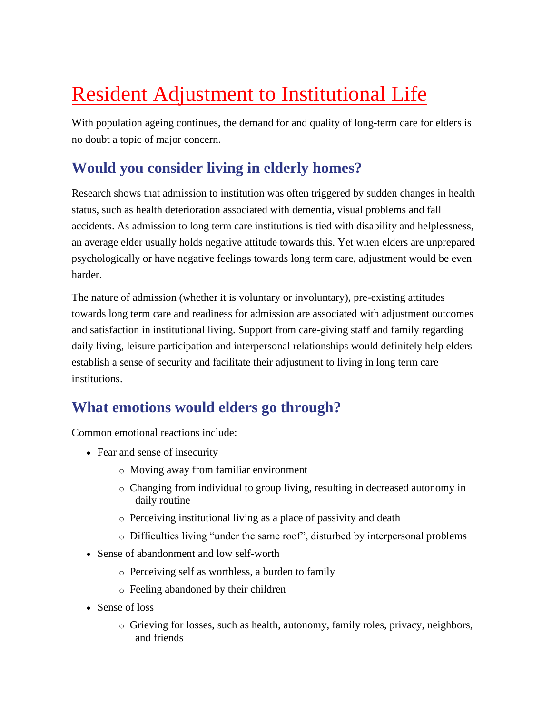# Resident Adjustment to Institutional Life

With population ageing continues, the demand for and quality of long-term care for elders is no doubt a topic of major concern.

# **Would you consider living in elderly homes?**

Research shows that admission to institution was often triggered by sudden changes in health status, such as health deterioration associated with dementia, visual problems and fall accidents. As admission to long term care institutions is tied with disability and helplessness, an average elder usually holds negative attitude towards this. Yet when elders are unprepared psychologically or have negative feelings towards long term care, adjustment would be even harder.

The nature of admission (whether it is voluntary or involuntary), pre-existing attitudes towards long term care and readiness for admission are associated with adjustment outcomes and satisfaction in institutional living. Support from care-giving staff and family regarding daily living, leisure participation and interpersonal relationships would definitely help elders establish a sense of security and facilitate their adjustment to living in long term care institutions.

# **What emotions would elders go through?**

Common emotional reactions include:

- Fear and sense of insecurity
	- o Moving away from familiar environment
	- o Changing from individual to group living, resulting in decreased autonomy in daily routine
	- o Perceiving institutional living as a place of passivity and death
	- o Difficulties living "under the same roof", disturbed by interpersonal problems
- Sense of abandonment and low self-worth
	- o Perceiving self as worthless, a burden to family
	- o Feeling abandoned by their children
- Sense of loss
	- $\circ$  Grieving for losses, such as health, autonomy, family roles, privacy, neighbors, and friends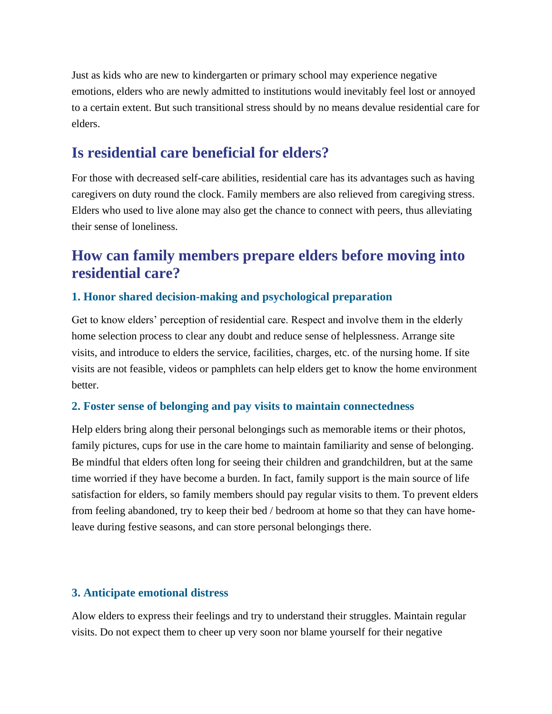Just as kids who are new to kindergarten or primary school may experience negative emotions, elders who are newly admitted to institutions would inevitably feel lost or annoyed to a certain extent. But such transitional stress should by no means devalue residential care for elders.

### **Is residential care beneficial for elders?**

For those with decreased self-care abilities, residential care has its advantages such as having caregivers on duty round the clock. Family members are also relieved from caregiving stress. Elders who used to live alone may also get the chance to connect with peers, thus alleviating their sense of loneliness.

# **How can family members prepare elders before moving into residential care?**

#### **1. Honor shared decision-making and psychological preparation**

Get to know elders' perception of residential care. Respect and involve them in the elderly home selection process to clear any doubt and reduce sense of helplessness. Arrange site visits, and introduce to elders the service, facilities, charges, etc. of the nursing home. If site visits are not feasible, videos or pamphlets can help elders get to know the home environment better.

#### **2. Foster sense of belonging and pay visits to maintain connectedness**

Help elders bring along their personal belongings such as memorable items or their photos, family pictures, cups for use in the care home to maintain familiarity and sense of belonging. Be mindful that elders often long for seeing their children and grandchildren, but at the same time worried if they have become a burden. In fact, family support is the main source of life satisfaction for elders, so family members should pay regular visits to them. To prevent elders from feeling abandoned, try to keep their bed / bedroom at home so that they can have homeleave during festive seasons, and can store personal belongings there.

#### **3. Anticipate emotional distress**

Alow elders to express their feelings and try to understand their struggles. Maintain regular visits. Do not expect them to cheer up very soon nor blame yourself for their negative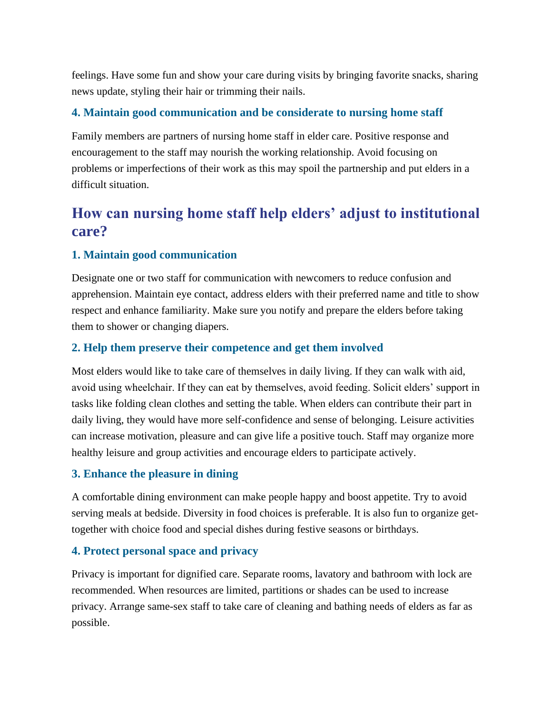feelings. Have some fun and show your care during visits by bringing favorite snacks, sharing news update, styling their hair or trimming their nails.

#### **4. Maintain good communication and be considerate to nursing home staff**

Family members are partners of nursing home staff in elder care. Positive response and encouragement to the staff may nourish the working relationship. Avoid focusing on problems or imperfections of their work as this may spoil the partnership and put elders in a difficult situation.

# **How can nursing home staff help elders' adjust to institutional care?**

#### **1. Maintain good communication**

Designate one or two staff for communication with newcomers to reduce confusion and apprehension. Maintain eye contact, address elders with their preferred name and title to show respect and enhance familiarity. Make sure you notify and prepare the elders before taking them to shower or changing diapers.

#### **2. Help them preserve their competence and get them involved**

Most elders would like to take care of themselves in daily living. If they can walk with aid, avoid using wheelchair. If they can eat by themselves, avoid feeding. Solicit elders' support in tasks like folding clean clothes and setting the table. When elders can contribute their part in daily living, they would have more self-confidence and sense of belonging. Leisure activities can increase motivation, pleasure and can give life a positive touch. Staff may organize more healthy leisure and group activities and encourage elders to participate actively.

#### **3. Enhance the pleasure in dining**

A comfortable dining environment can make people happy and boost appetite. Try to avoid serving meals at bedside. Diversity in food choices is preferable. It is also fun to organize gettogether with choice food and special dishes during festive seasons or birthdays.

#### **4. Protect personal space and privacy**

Privacy is important for dignified care. Separate rooms, lavatory and bathroom with lock are recommended. When resources are limited, partitions or shades can be used to increase privacy. Arrange same-sex staff to take care of cleaning and bathing needs of elders as far as possible.